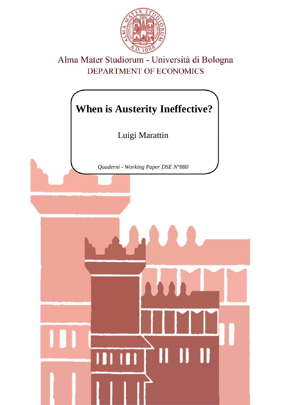

# Alma Mater Studiorum - Università di Bologna DEPARTMENT OF ECONOMICS

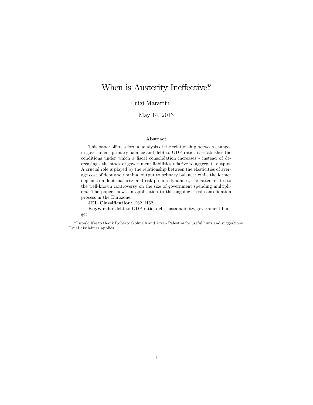## When is Austerity Ineffective?

Luigi Marattin

#### May 14, 2013

#### Abstract

This paper offers a formal analysis of the relationship between changes in government primary balance and debt-to-GDP ratio. it establishes the conditions under which a fiscal consolidation increases - instead of decreasing - the stock of government liabilities relative to aggregate output. A crucial role is played by the relationship between the elasticities of average cost of debt and nominal output to primary balance: while the former depends on debt maturity and risk premia dynamics, the latter relates to the well-known controversy on the size of government spending multipliers. The paper shows an application to the ongoing fiscal consolidation process in the Eurozone.

JEL Classification: E62, H62

Keywords: debt-to-GDP ratio, debt sustainability, government budget.

I would like to thank Roberto Golinelli and Arsen Palestini for useful hints and suggestions. Usual disclaimer applies.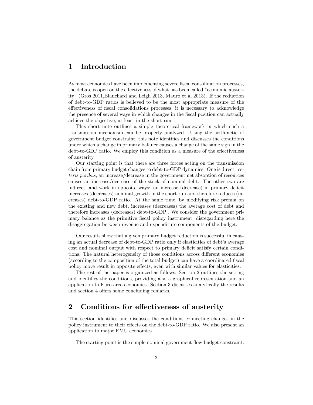## 1 Introduction

As most economies have been implementing severe fiscal consolidation processes, the debate is open on the effectiveness of what has been called "economic austerity" (Gros 2011,Blanchard and Leigh 2013, Mauro et al 2013). If the reduction of debt-to-GDP ratios is believed to be the most appropriate measure of the effectiveness of fiscal consolidations processes, it is necessary to acknowledge the presence of several ways in which changes in the fiscal position can actually achieve the objective, at least in the short-run.

This short note outlines a simple theoretical framework in which such a transmission mechanism can be properly analyzed. Using the arithmetic of government budget constraint, this note identifies and discusses the conditions under which a change in primary balance causes a change of the same sign in the debt-to-GDP ratio. We employ this condition as a measure of the effectiveness of austerity.

Our starting point is that there are three forces acting on the transmission chain from primary budget changes to debt-to-GDP dynamics. One is direct: ceteris paribus, an increase/decrease in the government net absoption of resources causes an increase/decrease of the stock of nominal debt. The other two are indirect, and work in opposite ways: an increase (decrease) in primary deficit increases (decreases) nominal growth in the short-run and therefore reduces (increases) debt-to-GDP ratio. At the same time, by modifying risk premia on the existing and new debt, increases (decreases) the average cost of debt and therefore increases (decreases) debt-to-GDP . We consider the government primary balance as the primitive fiscal policy instrument, disregarding here the disaggregation between revenue and expenditure components of the budget.

Our results show that a given primary budget reduction is successful in causing an actual decrease of debt-to-GDP ratio only if elasticities of debt's average cost and nominal output with respect to primary deficit satisfy certain conditions. The natural heterogeneity of those conditions across different economies (according to the composition of the total budget) can have a coordinated fiscal policy move result in opposite effects, even with similar values for elasticities.

The rest of the paper is organized as follows. Section 2 outlines the setting and identifies the conditions, providing also a graphical representation and an application to Euro-area economies. Section 3 discusses analytically the results and section 4 offers some concluding remarks.

## 2 Conditions for effectiveness of austerity

This section identifies and discusses the conditions connecting changes in the policy instrument to their effects on the debt-to-GDP ratio. We also present an application to major EMU economies.

The starting point is the simple nominal government flow budget constraint: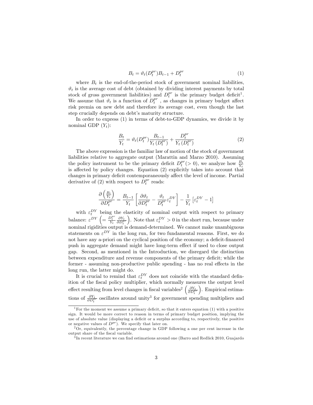$$
B_t = \vartheta_t(D_t^{pr})B_{t-1} + D_t^{pr} \tag{1}
$$

where  $B_t$  is the end-of-the-period stock of government nominal liabilities,  $\vartheta_t$  is the average cost of debt (obtained by dividing interest payments by total stock of gross government liabilities) and  $D_t^{pr}$  is the primary budget deficit<sup>1</sup>. We assume that  $\vartheta_t$  is a function of  $D_t^{pr}$ , as changes in primary budget affect risk premia on new debt and therefore its average cost, even though the last step crucially depends on debt's maturity structure.

In order to express (1) in terms of debt-to-GDP dynamics, we divide it by nominal GDP  $(Y_t)$ :

$$
\frac{B_t}{Y_t} = \vartheta_t(D_t^{pr}) \frac{B_{t-1}}{Y_t(D_t^{pr})} + \frac{D_t^{pr}}{Y_t(D_t^{pr})}
$$
(2)

The above expression is the familiar law of motion of the stock of government liabilities relative to aggregate output (Marattin and Marzo 2010). Assuming the policy instrument to be the primary deficit  $D_t^{pr}(> 0)$ , we analyze how  $\frac{B_t}{Y_t}$ is affected by policy changes. Equation (2) explicitly takes into account that changes in primary deficit contemporaneously affect the level of income. Partial derivative of (2) with respect to  $\overline{D}_t^{pr}$  reads:

$$
\frac{\partial \left(\frac{B_t}{Y_t}\right)}{\partial D_t^{pr}} = \frac{B_{t-1}}{Y_t} \left[ \frac{\partial \vartheta_t}{\partial D_t^{pr}} - \frac{\vartheta_t}{D_t^{pr}} \varepsilon_t^{DY} \right] - \frac{1}{Y_t} \left[ \varepsilon_t^{DY} - 1 \right]
$$

with  $\varepsilon_t^{DY}$  being the elasticity of nominal output with respect to primary balance:  $\varepsilon^{DY}\left(=\frac{\bar{D}_{t}^{pr}}{Y_{t}}\frac{\partial Y_{t}}{\partial D_{t}^{pr}}\right)$ ). Note that  $\varepsilon_t^{DY} > 0$  in the short run, because under nominal rigidities output is demand-determined. We cannot make unambiguous statements on  $\varepsilon^{DY}$  in the long run, for two fundamental reasons. First, we do not have any a-priori on the cyclical position of the economy; a deficit-financed push in aggregate demand might have long-term effect if used to close output gap. Second, as mentioned in the Introduction, we disregard the distinction between expenditure and revenue components of the primary deficit; while the former - assuming non-productive public spending - has no real effects in the long run, the latter might do.

It is crucial to remind that  $\varepsilon_t^{DY}$  does not coincide with the standard definition of the fiscal policy multiplier, which normally measures the output level effect resulting from level changes in fiscal variables<sup>2</sup>  $\left(\frac{\partial Y_t}{\partial D_t^{pr}}\right)$  . Empirical estimations of  $\frac{\partial Y_t}{\partial D_t^{pr}}$  oscillates around unity<sup>3</sup> for government spending multipliers and

<sup>&</sup>lt;sup>1</sup> For the moment we assume a primary deficit, so that it enters equation (1) with a positive sign. It would be more correct to reason in terms of primary budget position, implying the use of absolute value (displaying a deficit or a surplus according to, respectively, the positive or negative values of  $D^{pr}$ ). We specify that later on.

 $2\text{Or},$  equivalently, the percentage change in GDP following a one per cent increase in the output share of the fiscal variable.

 ${}^{3}{\rm In}$  recent literature we can find estimations around one (Barro and Redlick 2010, Guajardo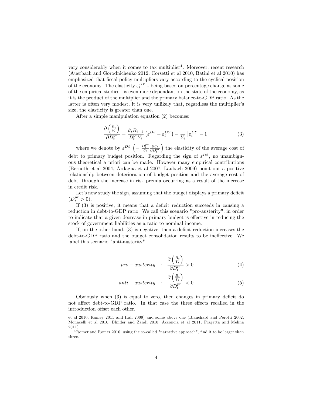vary considerably when it comes to tax multiplier<sup>4</sup>. Moreover, recent research (Auerbach and Gorodnichenko 2012, Corsetti et al 2010, Batini et al 2010) has emphasized that Öscal policy multipliers vary according to the cyclical position of the economy. The elasticity  $\varepsilon_t^{DY}$  - being based on percentage change as some of the empirical studies - is even more dependant on the state of the economy, as it is the product of the multiplier and the primary balance-to-GDP ratio. As the latter is often very modest, it is very unlikely that, regardless the multiplier's size, the elasticity is greater than one.

After a simple manipulation equation (2) becomes:

$$
\frac{\partial \left(\frac{B_t}{Y_t}\right)}{\partial D_t^{pr}} = \frac{\vartheta_t B_{t-1}}{D_t^{pr} Y_t} \left(\varepsilon^{D\vartheta} - \varepsilon_t^{DY}\right) - \frac{1}{Y_t} \left[\varepsilon_t^{DY} - 1\right]
$$
\n(3)

where we denote by  $\varepsilon^{D\vartheta}$   $\left(=\frac{D_t^{pr}}{\vartheta_t} \frac{\partial \vartheta_t}{\partial D_t^{pr}}\right)$  the elasticity of the average cost of debt to primary budget position. Regarding the sign of  $\varepsilon^{D\vartheta}$ , no unambiguous theoretical a priori can be made. However many empirical contributions (Bernoth et al 2004, Ardagna et al 2007, Laubach 2009) point out a positive relationship between deterioration of budget position and the average cost of debt, through the increase in risk premia occurring as a result of the increase in credit risk.

Let's now study the sign, assuming that the budget displays a primary deficit  $(D_t^{pr} > 0).$ 

If  $(3)$  is positive, it means that a deficit reduction succeeds in causing a reduction in debt-to-GDP ratio. We call this scenario "pro-austerity", in order to indicate that a given decrease in primary budget is effective in reducing the stock of government liabilities as a ratio to nominal income.

If, on the other hand,  $(3)$  is negative, then a deficit reduction increases the debt-to-GDP ratio and the budget consolidation results to be ineffective. We label this scenario "anti-austerity".

$$
pro-austerity : \frac{\partial \left(\frac{B_t}{Y_t}\right)}{\partial D_t^{pr}} > 0
$$
\n
$$
(4)
$$

$$
anti-austerity : \frac{\partial \left(\frac{B_t}{Y_t}\right)}{\partial D_t^{pr}} < 0 \tag{5}
$$

Obviously when  $(3)$  is equal to zero, then changes in primary deficit do not affect debt-to-GDP ratio. In that case the three effects recalled in the introduction offset each other.

et al 2010, Ramey 2011 and Hall 2009) and some above one (Blanchard and Perotti 2002, Monacelli et al 2010, Blinder and Zandi 2010, Acconcia et al 2011, Fragetta and Melina 2011).

 $4$ Romer and Romer 2010, using the so-called "narrative approach", find it to be larger than three.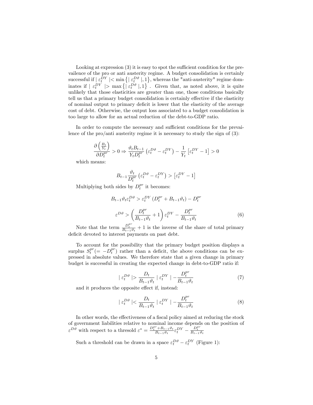Looking at expression  $(3)$  it is easy to spot the sufficient condition for the prevailence of the pro or anti austerity regime. A budget consolidation is certainly successful if  $\left| \varepsilon_t^{DY} \right| < \min \left\{ \left| \varepsilon_t^{D^{\vartheta}} \right|, 1 \right\}$ , whereas the "anti-austerity" regime dominates if  $\left| \varepsilon_t^{DY} \right| > \max \left\{ \left| \varepsilon_t^{D^{\vartheta}} \right|, 1 \right\}$ . Given that, as noted above, it is quite unlikely that those elasticities are greater than one, those conditions basically tell us that a primary budget consolidation is certainly effective if the elasticity of nominal output to primary deficit is lower that the elasticity of the average cost of debt. Otherwise, the output loss associated to a budget consolidation is too large to allow for an actual reduction of the debt-to-GDP ratio.

In order to compute the necessary and sufficient conditions for the prevailence of the pro/anti-austerity regime it is necessary to study the sign of  $(3)$ :

$$
\frac{\partial \left(\frac{B_t}{Y_t}\right)}{\partial D_t^{pr}} > 0 \Rightarrow \frac{\vartheta_t B_{t-1}}{Y_t D_t^{pr}} \left(\varepsilon_t^{D\vartheta} - \varepsilon_t^{DY}\right) - \frac{1}{Y_t} \left[\varepsilon_t^{DY} - 1\right] > 0
$$

which means:

 $\sqrt{2}$ 

$$
B_{t-1} \frac{\vartheta_t}{D_t^{pr}} \left( \varepsilon_t^{D\vartheta} - \varepsilon_t^{DY} \right) > \left[ \varepsilon_t^{DY} - 1 \right]
$$

Multiplying both sides by  $D_t^{pr}$  it becomes:

$$
B_{t-1}\vartheta_t \varepsilon_t^{D\vartheta} > \varepsilon_t^{DY} \left( D_t^{pr} + B_{t-1}\vartheta_t \right) - D_t^{pr}
$$
  

$$
\varepsilon^{D\vartheta} > \left( \frac{D_t^{pr}}{B_{t-1}\vartheta_t} + 1 \right) \varepsilon_t^{DY} - \frac{D_t^{pr}}{B_{t-1}\vartheta_t}
$$
 (6)

Note that the term  $\frac{D_t^{pr}}{B_{t-1}\vartheta_t} + 1$  is the inverse of the share of total primary deficit devoted to interest payments on past debt.

To account for the possibility that the primary budget position displays a surplus  $S_t^{pr} (= -D_t^{pr})$  rather than a deficit, the above conditions can be expressed in absolute values. We therefore state that a given change in primary budget is successful in creating the expected change in debt-to-GDP ratio if:

$$
|\varepsilon_t^{D\vartheta}| > \frac{D_t}{B_{t-1}\vartheta_t} \left| \varepsilon_t^{DY} \right| - \frac{D_t^{pr}}{B_{t-1}\vartheta_t} \tag{7}
$$

and it produces the opposite effect if, instead:

$$
|\varepsilon_t^{D\vartheta}| < \frac{D_t}{B_{t-1}\vartheta_t} \left| \varepsilon_t^{DY} \right| - \frac{D_t^{pr}}{B_{t-1}\vartheta_t} \tag{8}
$$

In other words, the effectiveness of a fiscal policy aimed at reducing the stock of government liabilities relative to nominal income depends on the position of  $\varepsilon^{D\vartheta}$  with respect to a thresold  $\varepsilon^* = \frac{D_t^{pr} + B_{t-1}\vartheta_t}{B_{t-1}\vartheta_t}\varepsilon_t^{DY} - \frac{D_t^{pr}}{B_{t-1}\vartheta_t}$ 

Such a threshold can be drawn in a space  $\varepsilon^{D\vartheta}_t-\varepsilon^{DY}_t$  (Figure 1):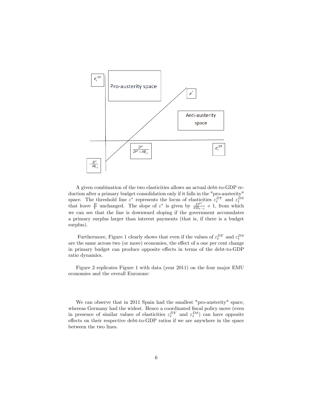

A given combination of the two elasticities allows an actual debt-to-GDP reduction after a primary budget consolidation only if it falls in the "pro-austerity" space. The threshold line  $\varepsilon^*$  represents the locus of elasticities  $\varepsilon_t^{DY}$  and  $\varepsilon_t^{D\vartheta}$  that leave  $\frac{B}{Y}$  unchanged. The slope of  $\varepsilon^*$  is given by  $\frac{D^{pr}}{\vartheta B_{t-1}} + 1$ , from which we can see that the line is downward sloping if the government accumulates a primary surplus larger than interest payments (that is, if there is a budget surplus).

Furthermore, Figure 1 clearly shows that even if the values of  $\varepsilon_t^{DY}$  and  $\varepsilon_t^{D\vartheta}$ are the same across two (or more) economies, the effect of a one per cent change in primary budget can produce opposite effects in terms of the debt-to-GDP ratio dynamics.

Figure 2 replicates Figure 1 with data (year 2011) on the four major EMU economies and the overall Eurozone:

We can observe that in 2011 Spain had the smallest "pro-austerity" space, whereas Germany had the widest. Hence a coordinated fiscal policy move (even in presence of similar values of elasticities  $\varepsilon_t^{DY}$  and  $\varepsilon_t^{D\vartheta}$  can have opposite effects on their respective debt-to-GDP ratios if we are anywhere in the space between the two lines.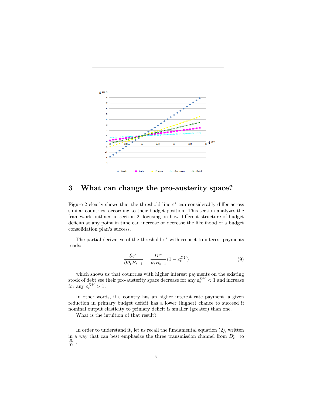

#### 3 What can change the pro-austerity space?

Figure 2 clearly shows that the threshold line  $\varepsilon^*$  can considerably differ across similar countries, according to their budget position. This section analyzes the framework outlined in section 2, focusing on how different structure of budget deficits at any point in time can increase or decrease the likelihood of a budget consolidation plan's success.

The partial derivative of the threshold  $\varepsilon^*$  with respect to interest payments reads:

$$
\frac{\partial \varepsilon^*}{\partial \vartheta_t B_{t-1}} = \frac{D^{pr}}{\vartheta_t B_{t-1}} (1 - \varepsilon_t^{DY})
$$
\n(9)

which shows us that countries with higher interest payments on the existing stock of debt see their pro-austerity space decrease for any  $\varepsilon_t^{DY} < 1$  and increase for any  $\varepsilon_t^{DY} > 1$ .

In other words, if a country has an higher interest rate payment, a given reduction in primary budget deficit has a lower (higher) chance to succeed if nominal output elasticity to primary deficit is smaller (greater) than one.

What is the intuition of that result?

In order to understand it, let us recall the fundamental equation (2), written in a way that can best emphasize the three transmission channel from  $D_t^{pr}$  to  $\frac{B_t}{Y_t}$  :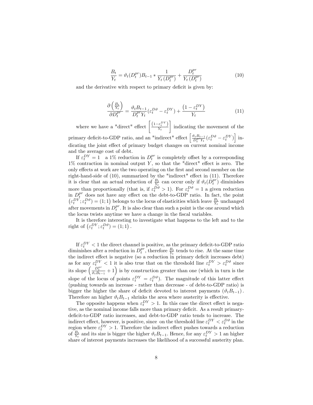$$
\frac{B_t}{Y_t} = \vartheta_t(D_t^{pr})B_{t-1} * \frac{1}{Y_t(D_t^{pr})} + \frac{D_t^{pr}}{Y_t(D_t^{pr})}
$$
(10)

and the derivative with respect to primary deficit is given by:

$$
\frac{\partial \left(\frac{B_t}{Y_t}\right)}{\partial D_t^{pr}} = \frac{\vartheta_t B_{t-1}}{D_t^{pr} Y_t} (\varepsilon_t^{D\vartheta} - \varepsilon_t^{DY}) + \frac{\left(1 - \varepsilon_t^{DY}\right)}{Y_t} \tag{11}
$$

where we have a "direct" effect  $\left[ \frac{(1 - \varepsilon_t^{DY})}{Y_t} \right]$  $Y_t$ Ĭ. indicating the movement of the primary deficit-to-GDP ratio, and an "indirect" effect  $\left[\frac{\vartheta_t B_{t-1}}{D_t^{pr} Y_t}(\varepsilon_t^{D\vartheta} - \varepsilon_t^{DY})\right]$  indicating the joint effect of primary budget changes on current nominal income and the average cost of debt.

If  $\varepsilon_t^{DY} = 1$  a 1% reduction in  $D_t^{pr}$  is completely offset by a corresponding  $1\%$  contraction in nominal output Y, so that the "direct" effect is zero. The only effects at work are the two operating on the first and second member on the right-hand-side of  $(10)$ , summarized by the "indirect" effect in  $(11)$ . Therefore it is clear that an actual reduction of  $\frac{B_t}{Y_t}$  can occur only if  $\vartheta_t(D_t^{pr})$  diminishes more than proportionally (that is, if  $\varepsilon_t^{D\vartheta} > 1$ ). For  $\varepsilon_t^{D\vartheta} = 1$  a given reduction in  $D_t^{pr}$  does not have any effect on the debt-to-GDP ratio. In fact, the point  $(\varepsilon_t^{DY}; \varepsilon_t^{D\vartheta}) = (1; 1)$  belongs to the locus of elasticities which leave  $\frac{B_t}{Y_t}$  unchanged after movements in  $D_t^{pr}$ . It is also clear than such a point is the one around which the locus twists anytime we have a change in the fiscal variables.

It is therefore interesting to investigate what happens to the left and to the right of  $(\varepsilon_t^{DY}; \varepsilon_t^{D\vartheta}) = (1; 1)$ .

If  $\varepsilon_t^{DY} < 1$  the direct channel is positive, as the primary deficit-to-GDP ratio diminishes after a reduction in  $D_t^{pr}$ , therefore  $\frac{B_t}{Y_t}$  tends to rise. At the same time the indirect effect is negative (so a reduction in primary deficit increases debt) as for any  $\varepsilon_t^{DY} < 1$  it is also true that on the threshold line  $\varepsilon_t^{DY} > \varepsilon_t^{D\vartheta}$  since its slope  $\left(\frac{D_t^{pr}}{\vartheta_t B_{t-1}} + 1\right)$  is by construction greater than one (which in turn is the slope of the locus of points  $\varepsilon_t^{DY} = \varepsilon_t^{D\vartheta}$ . The magnitude of this latter effect (pushing towards an increase - rather than decrease - of debt-to-GDP ratio) is bigger the higher the share of deficit devoted to interest payments  $(\vartheta_t B_{t-1})$ . Therefore an higher  $\vartheta_t B_{t-1}$  shrinks the area where austerity is effective.

The opposite happens when  $\varepsilon_t^{DY} > 1$ . In this case the direct effect is negative, as the nominal income falls more than primary deficit. As a result primarydeficit-to-GDP ratio increases, and debt-to-GDP ratio tends to increase. The indirect effect, however, is positive, since on the threshold line  $\varepsilon_t^{DY} < \varepsilon_t^{D\vartheta}$  in the region where  $\varepsilon_t^{DY} > 1$ . Therefore the indirect effect pushes towards a reduction of  $\frac{B_t}{Y_t}$  and its size is bigger the higher  $\vartheta_t B_{t-1}$ . Hence, for any  $\varepsilon_t^{DY} > 1$  an higher share of interest payments increases the likelihood of a successful austerity plan.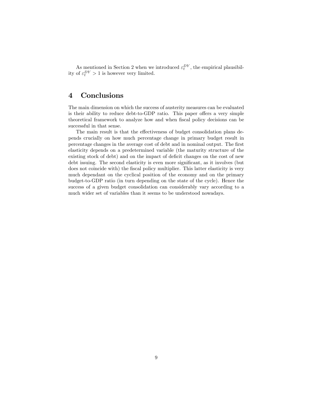As mentioned in Section 2 when we introduced  $\varepsilon_t^{DY}$ , the empirical plausibility of  $\varepsilon_t^{DY} > 1$  is however very limited.

## 4 Conclusions

The main dimension on which the success of austerity measures can be evaluated is their ability to reduce debt-to-GDP ratio. This paper offers a very simple theoretical framework to analyze how and when fiscal policy decisions can be successful in that sense.

The main result is that the effectiveness of budget consolidation plans depends crucially on how much percentage change in primary budget result in percentage changes in the average cost of debt and in nominal output. The Örst elasticity depends on a predetermined variable (the maturity structure of the existing stock of debt) and on the impact of deficit changes on the cost of new debt issuing. The second elasticity is even more significant, as it involves (but does not coincide with) the fiscal policy multiplier. This latter elasticity is very much dependant on the cyclical position of the economy and on the primary budget-to-GDP ratio (in turn depending on the state of the cycle). Hence the success of a given budget consolidation can considerably vary according to a much wider set of variables than it seems to be understood nowadays.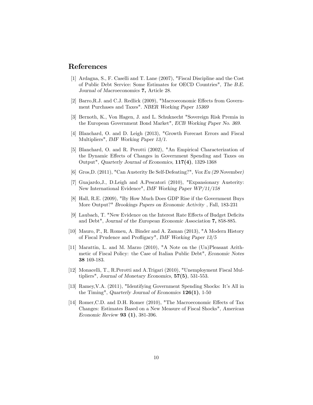#### References

- [1] Ardagna, S., F. Caselli and T. Lane (2007), "Fiscal Discipline and the Cost of Public Debt Service: Some Estimates for OECD Countries", The B.E. Journal of Macroeconomics 7, Article 28.
- [2] Barro, R.J. and C.J. Redlick (2009), "Macroeconomic Effects from Government Purchases and Taxes". NBER Working Paper 15369
- [3] Bernoth, K., Von Hagen, J. and L. Schuknecht "Sovereign Risk Premia in the European Government Bond Market", ECB Working Paper No. 369.
- [4] Blanchard, O. and D. Leigh (2013), "Growth Forecast Errors and Fiscal Multipliers", IMF Working Paper 13/1.
- [5] Blanchard, O. and R. Perotti (2002), "An Empirical Characterization of the Dynamic Effects of Changes in Government Spending and Taxes on Output", Quarterly Journal of Economics, 117(4), 1329-1368
- [6] Gros,D. (2011), "Can Austerity Be Self-Defeating?", Vox Eu (29 November)
- [7] Guajardo,J., D.Leigh and A.Pescatori (2010), "Expansionary Austerity: New International Evidence", IMF Working Paper WP/11/158
- [8] Hall, R.E. (2009), "By How Much Does GDP Rise if the Government Buys More Output?" Brookings Papers on Economic Activity , Fall, 183-231
- [9] Laubach, T. "New Evidence on the Interest Rate Effects of Budget Deficits and Debt", Journal of the European Economic Association 7, 858-885.
- [10] Mauro, P., R. Romeu, A. Binder and A. Zaman (2013), "A Modern History of Fiscal Prudence and Profligacy", IMF Working Paper  $13/5$
- [11] Marattin, L. and M. Marzo (2010), "A Note on the (Un)Pleasant Arithmetic of Fiscal Policy: the Case of Italian Public Debt", Economic Notes 38 169-183.
- [12] Monacelli, T., R.Perotti and A.Trigari (2010), "Unemployment Fiscal Multipliers", Journal of Monetary Economics, 57(5), 531-553.
- [13] Ramey, V.A. (2011), "Identifying Government Spending Shocks: It's All in the Timing", Quarterly Journal of Economics  $126(1)$ , 1-50
- [14] Romer, C.D. and D.H. Romer (2010), "The Macroeconomic Effects of Tax Changes: Estimates Based on a New Measure of Fiscal Shocks", American Economic Review 93 (1), 381-396.